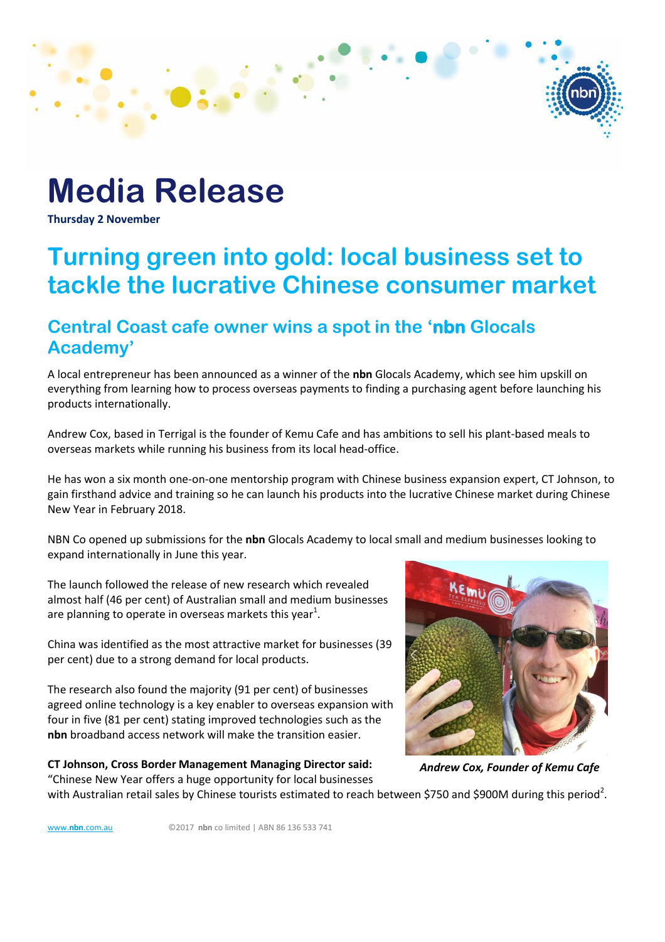# **Media Release**

**Thursday 2 November**

## **Turning green into gold: local business set to tackle the lucrative Chinese consumer market**

### **Central Coast cafe owner wins a spot in the 'nbn Glocals Academy'**

A local entrepreneur has been announced as a winner of the **nbn** Glocals Academy, which see him upskill on everything from learning how to process overseas payments to finding a purchasing agent before launching his products internationally.

Andrew Cox, based in Terrigal is the founder of Kemu Cafe and has ambitions to sell his plant-based meals to overseas markets while running his business from its local head-office.

He has won a six month one-on-one mentorship program with Chinese business expansion expert, CT Johnson, to gain firsthand advice and training so he can launch his products into the lucrative Chinese market during Chinese New Year in February 2018.

NBN Co opened up submissions for the **nbn** Glocals Academy to local small and medium businesses looking to expand internationally in June this year.

The launch followed the release of new research which revealed almost half (46 per cent) of Australian small and medium businesses are planning to operate in overseas markets this year<sup>1</sup>.

China was identified as the most attractive market for businesses (39 per cent) due to a strong demand for local products.

The research also found the majority (91 per cent) of businesses agreed online technology is a key enabler to overseas expansion with four in five (81 per cent) stating improved technologies such as the **nbn** broadband access network will make the transition easier.

**CT Johnson, Cross Border Management Managing Director said:** "Chinese New Year offers a huge opportunity for local businesses



*Andrew Cox, Founder of Kemu Cafe*

with Australian retail sales by Chinese tourists estimated to reach between \$750 and \$900M during this period<sup>2</sup>.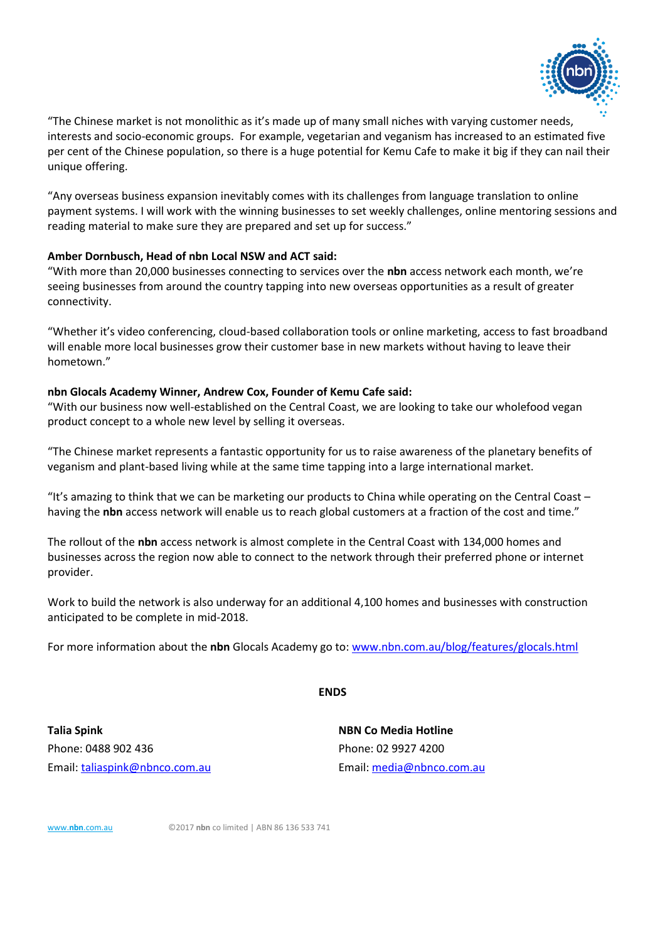

"The Chinese market is not monolithic as it's made up of many small niches with varying customer needs, interests and socio-economic groups. For example, vegetarian and veganism has increased to an estimated five per cent of the Chinese population, so there is a huge potential for Kemu Cafe to make it big if they can nail their unique offering.

"Any overseas business expansion inevitably comes with its challenges from language translation to online payment systems. I will work with the winning businesses to set weekly challenges, online mentoring sessions and reading material to make sure they are prepared and set up for success."

#### **Amber Dornbusch, Head of nbn Local NSW and ACT said:**

"With more than 20,000 businesses connecting to services over the **nbn** access network each month, we're seeing businesses from around the country tapping into new overseas opportunities as a result of greater connectivity.

"Whether it's video conferencing, cloud-based collaboration tools or online marketing, access to fast broadband will enable more local businesses grow their customer base in new markets without having to leave their hometown."

#### **nbn Glocals Academy Winner, Andrew Cox, Founder of Kemu Cafe said:**

"With our business now well-established on the Central Coast, we are looking to take our wholefood vegan product concept to a whole new level by selling it overseas.

"The Chinese market represents a fantastic opportunity for us to raise awareness of the planetary benefits of veganism and plant-based living while at the same time tapping into a large international market.

"It's amazing to think that we can be marketing our products to China while operating on the Central Coast – having the **nbn** access network will enable us to reach global customers at a fraction of the cost and time."

The rollout of the **nbn** access network is almost complete in the Central Coast with 134,000 homes and businesses across the region now able to connect to the network through their preferred phone or internet provider.

Work to build the network is also underway for an additional 4,100 homes and businesses with construction anticipated to be complete in mid-2018.

For more information about the **nbn** Glocals Academy go to: [www.nbn.com.au/blog/features/glocals.html](http://www.nbn.com.au/blog/features/glocals.html) 

**ENDS**

**Talia Spink NBN Co Media Hotline** Phone: 0488 902 436 Phone: 02 9927 4200 Email[: taliaspink@nbnco.com.au](mailto:taliaspink@nbnco.com.au) Email: [media@nbnco.com.au](mailto:media@nbnco.com.au)

[www.](http://www.nbn.com.au/)**[nbn](http://www.nbn.com.au/)**[.com.au](http://www.nbn.com.au/) ©2017 **nbn** co limited | ABN 86 136 533 741